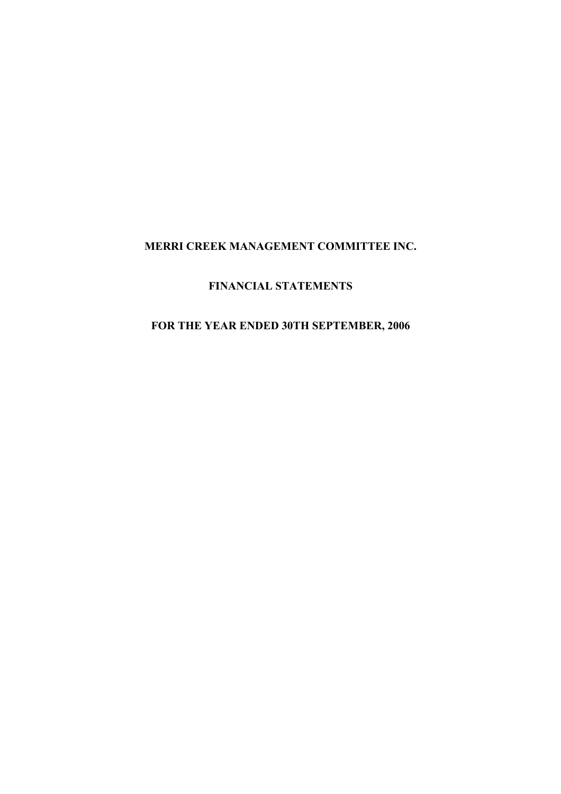# **FINANCIAL STATEMENTS**

## **FOR THE YEAR ENDED 30TH SEPTEMBER, 2006**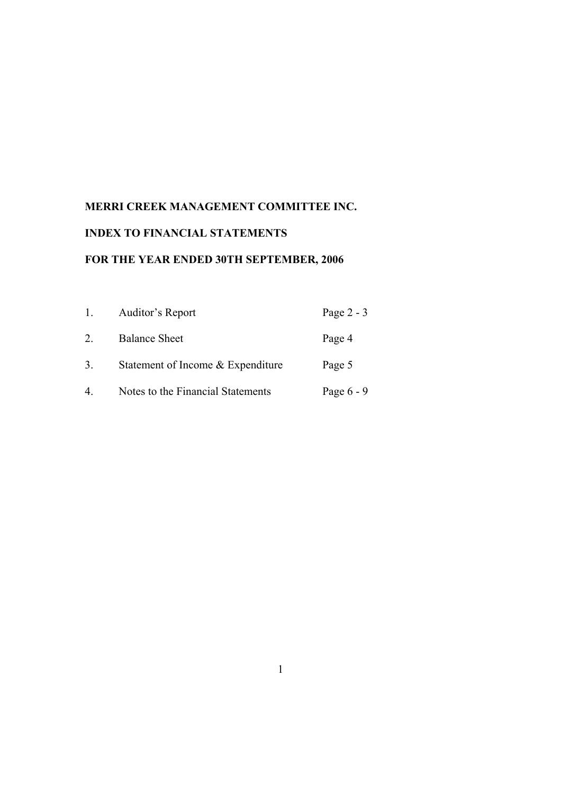# **INDEX TO FINANCIAL STATEMENTS**

## **FOR THE YEAR ENDED 30TH SEPTEMBER, 2006**

| 1. | Auditor's Report                  | Page $2 - 3$ |
|----|-----------------------------------|--------------|
| 2  | <b>Balance Sheet</b>              | Page 4       |
| 3. | Statement of Income & Expenditure | Page 5       |
| 4. | Notes to the Financial Statements | Page $6 - 9$ |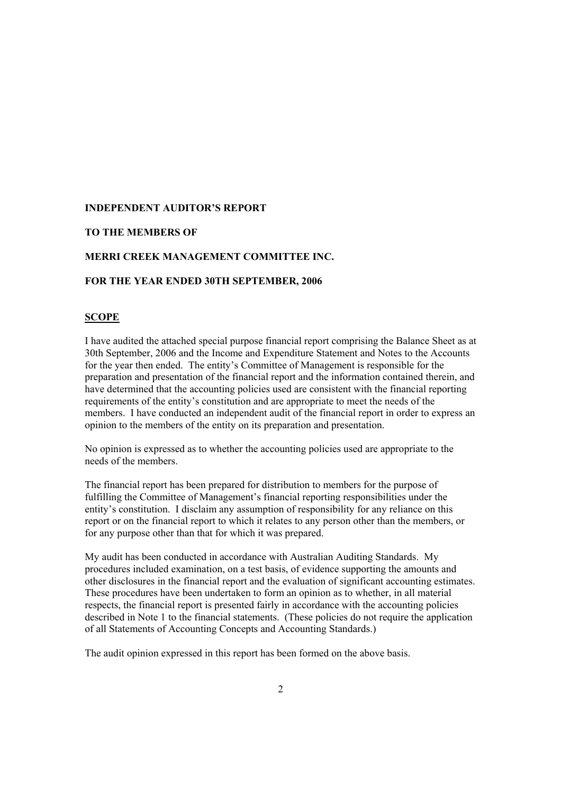#### **INDEPENDENT AUDITOR'S REPORT**

#### **TO THE MEMBERS OF**

#### **MERRI CREEK MANAGEMENT COMMITTEE INC.**

#### **FOR THE YEAR ENDED 30TH SEPTEMBER, 2006**

#### **SCOPE**

I have audited the attached special purpose financial report comprising the Balance Sheet as at 30th September, 2006 and the Income and Expenditure Statement and Notes to the Accounts for the year then ended. The entity's Committee of Management is responsible for the preparation and presentation of the financial report and the information contained therein, and have determined that the accounting policies used are consistent with the financial reporting requirements of the entity's constitution and are appropriate to meet the needs of the members. I have conducted an independent audit of the financial report in order to express an opinion to the members of the entity on its preparation and presentation.

No opinion is expressed as to whether the accounting policies used are appropriate to the needs of the members.

The financial report has been prepared for distribution to members for the purpose of fulfilling the Committee of Management's financial reporting responsibilities under the entity's constitution. I disclaim any assumption of responsibility for any reliance on this report or on the financial report to which it relates to any person other than the members, or for any purpose other than that for which it was prepared.

My audit has been conducted in accordance with Australian Auditing Standards. My procedures included examination, on a test basis, of evidence supporting the amounts and other disclosures in the financial report and the evaluation of significant accounting estimates. These procedures have been undertaken to form an opinion as to whether, in all material respects, the financial report is presented fairly in accordance with the accounting policies described in Note 1 to the financial statements. (These policies do not require the application of all Statements of Accounting Concepts and Accounting Standards.)

The audit opinion expressed in this report has been formed on the above basis.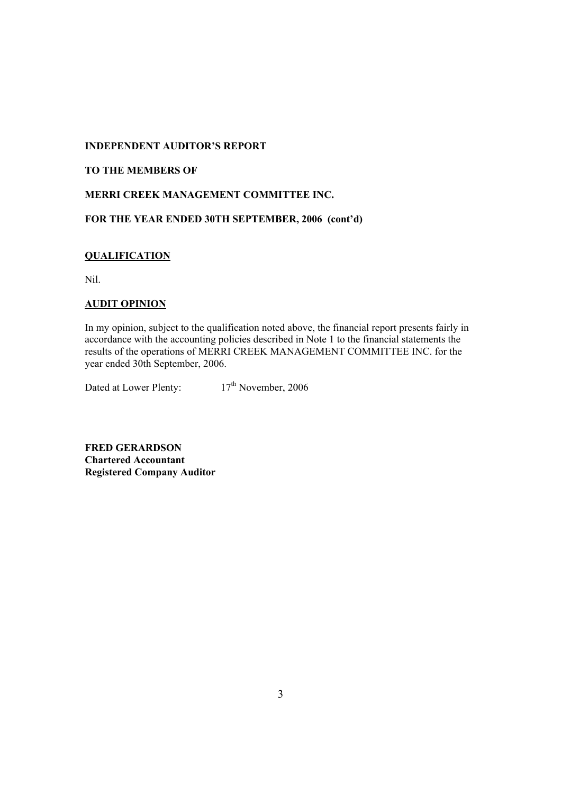#### **INDEPENDENT AUDITOR'S REPORT**

### **TO THE MEMBERS OF**

#### **MERRI CREEK MANAGEMENT COMMITTEE INC.**

**FOR THE YEAR ENDED 30TH SEPTEMBER, 2006 (cont'd)** 

### **QUALIFICATION**

Nil.

#### **AUDIT OPINION**

In my opinion, subject to the qualification noted above, the financial report presents fairly in accordance with the accounting policies described in Note 1 to the financial statements the results of the operations of MERRI CREEK MANAGEMENT COMMITTEE INC. for the year ended 30th September, 2006.

Dated at Lower Plenty: 17<sup>th</sup> November, 2006

**FRED GERARDSON Chartered Accountant Registered Company Auditor**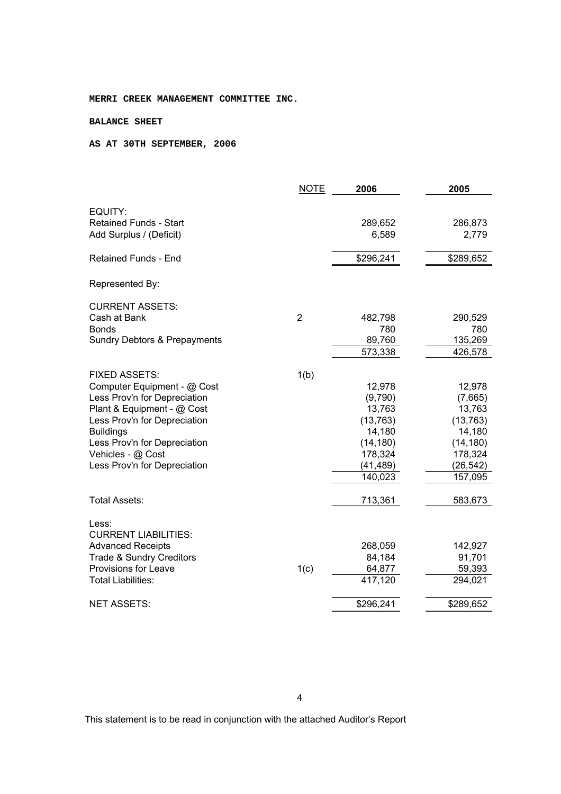#### **BALANCE SHEET**

#### **AS AT 30TH SEPTEMBER, 2006**

|                                         | <b>NOTE</b>    | 2006      | 2005      |
|-----------------------------------------|----------------|-----------|-----------|
| EQUITY:                                 |                |           |           |
| <b>Retained Funds - Start</b>           |                | 289,652   | 286,873   |
| Add Surplus / (Deficit)                 |                | 6,589     | 2,779     |
|                                         |                |           |           |
| <b>Retained Funds - End</b>             |                | \$296,241 | \$289,652 |
| Represented By:                         |                |           |           |
| <b>CURRENT ASSETS:</b>                  |                |           |           |
| Cash at Bank                            | $\overline{2}$ | 482,798   | 290,529   |
| Bonds                                   |                | 780       | 780       |
| <b>Sundry Debtors &amp; Prepayments</b> |                | 89,760    | 135,269   |
|                                         |                | 573,338   | 426,578   |
|                                         |                |           |           |
| <b>FIXED ASSETS:</b>                    | 1(b)           |           |           |
| Computer Equipment - @ Cost             |                | 12,978    | 12,978    |
| Less Prov'n for Depreciation            |                | (9,790)   | (7,665)   |
| Plant & Equipment - @ Cost              |                | 13,763    | 13,763    |
| Less Prov'n for Depreciation            |                | (13, 763) | (13, 763) |
| <b>Buildings</b>                        |                | 14,180    | 14,180    |
| Less Prov'n for Depreciation            |                | (14, 180) | (14, 180) |
| Vehicles - @ Cost                       |                | 178,324   | 178,324   |
| Less Prov'n for Depreciation            |                | (41, 489) | (26, 542) |
|                                         |                | 140,023   | 157,095   |
| Total Assets:                           |                | 713,361   | 583,673   |
| Less:                                   |                |           |           |
| <b>CURRENT LIABILITIES:</b>             |                |           |           |
| <b>Advanced Receipts</b>                |                | 268,059   | 142,927   |
| <b>Trade &amp; Sundry Creditors</b>     |                | 84,184    | 91,701    |
| Provisions for Leave                    | 1(c)           | 64,877    | 59,393    |
| <b>Total Liabilities:</b>               |                | 417,120   | 294,021   |
| <b>NET ASSETS:</b>                      |                | \$296,241 | \$289,652 |
|                                         |                |           |           |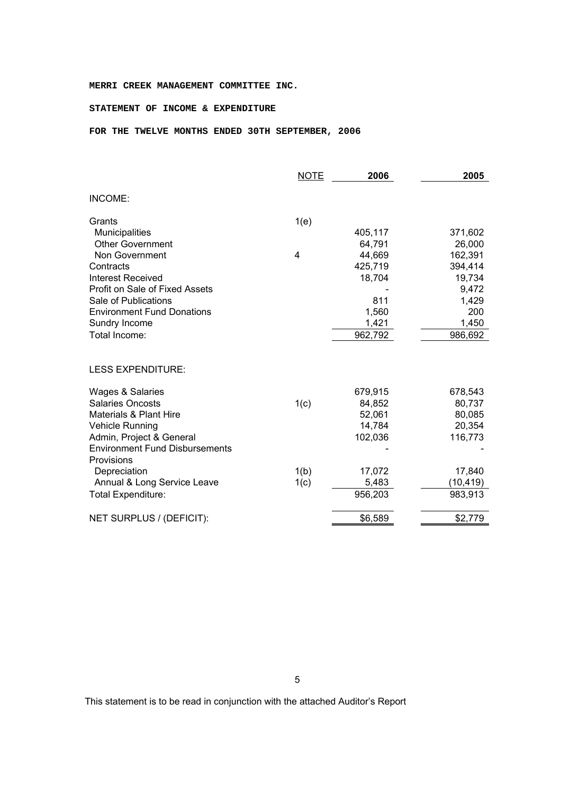#### **STATEMENT OF INCOME & EXPENDITURE**

#### **FOR THE TWELVE MONTHS ENDED 30TH SEPTEMBER, 2006**

|                                                     | <b>NOTE</b> | 2006    | 2005      |
|-----------------------------------------------------|-------------|---------|-----------|
| INCOME:                                             |             |         |           |
| Grants                                              | 1(e)        |         |           |
| <b>Municipalities</b>                               |             | 405,117 | 371,602   |
| <b>Other Government</b>                             |             | 64,791  | 26,000    |
| Non Government                                      | 4           | 44,669  | 162,391   |
| Contracts                                           |             | 425,719 | 394,414   |
| <b>Interest Received</b>                            |             | 18,704  | 19,734    |
| Profit on Sale of Fixed Assets                      |             |         | 9,472     |
| Sale of Publications                                |             | 811     | 1,429     |
| <b>Environment Fund Donations</b>                   |             | 1,560   | 200       |
| Sundry Income                                       |             | 1,421   | 1,450     |
| Total Income:                                       |             | 962,792 | 986,692   |
| <b>LESS EXPENDITURE:</b>                            |             |         |           |
| Wages & Salaries                                    |             | 679,915 | 678,543   |
| <b>Salaries Oncosts</b>                             | 1(c)        | 84,852  | 80,737    |
| <b>Materials &amp; Plant Hire</b>                   |             | 52,061  | 80,085    |
| <b>Vehicle Running</b>                              |             | 14,784  | 20,354    |
| Admin, Project & General                            |             | 102,036 | 116,773   |
| <b>Environment Fund Disbursements</b><br>Provisions |             |         |           |
| Depreciation                                        | 1(b)        | 17,072  | 17,840    |
| Annual & Long Service Leave                         | 1(c)        | 5,483   | (10, 419) |
| <b>Total Expenditure:</b>                           |             | 956,203 | 983,913   |
| NET SURPLUS / (DEFICIT):                            |             | \$6,589 | \$2,779   |
|                                                     |             |         |           |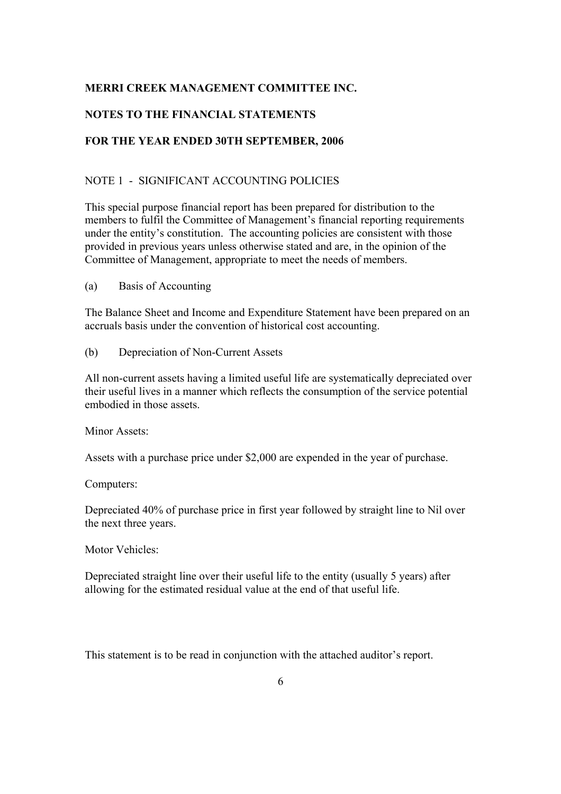## **NOTES TO THE FINANCIAL STATEMENTS**

## **FOR THE YEAR ENDED 30TH SEPTEMBER, 2006**

### NOTE 1 - SIGNIFICANT ACCOUNTING POLICIES

This special purpose financial report has been prepared for distribution to the members to fulfil the Committee of Management's financial reporting requirements under the entity's constitution. The accounting policies are consistent with those provided in previous years unless otherwise stated and are, in the opinion of the Committee of Management, appropriate to meet the needs of members.

(a) Basis of Accounting

The Balance Sheet and Income and Expenditure Statement have been prepared on an accruals basis under the convention of historical cost accounting.

(b) Depreciation of Non-Current Assets

All non-current assets having a limited useful life are systematically depreciated over their useful lives in a manner which reflects the consumption of the service potential embodied in those assets.

Minor Assets:

Assets with a purchase price under \$2,000 are expended in the year of purchase.

Computers:

Depreciated 40% of purchase price in first year followed by straight line to Nil over the next three years.

Motor Vehicles:

Depreciated straight line over their useful life to the entity (usually 5 years) after allowing for the estimated residual value at the end of that useful life.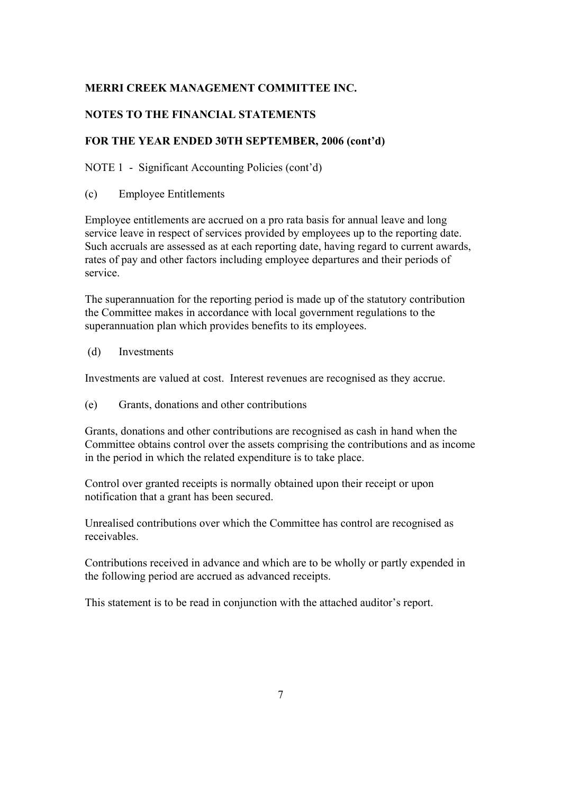## **NOTES TO THE FINANCIAL STATEMENTS**

## **FOR THE YEAR ENDED 30TH SEPTEMBER, 2006 (cont'd)**

NOTE 1 - Significant Accounting Policies (cont'd)

(c) Employee Entitlements

Employee entitlements are accrued on a pro rata basis for annual leave and long service leave in respect of services provided by employees up to the reporting date. Such accruals are assessed as at each reporting date, having regard to current awards, rates of pay and other factors including employee departures and their periods of service.

The superannuation for the reporting period is made up of the statutory contribution the Committee makes in accordance with local government regulations to the superannuation plan which provides benefits to its employees.

(d) Investments

Investments are valued at cost. Interest revenues are recognised as they accrue.

(e) Grants, donations and other contributions

Grants, donations and other contributions are recognised as cash in hand when the Committee obtains control over the assets comprising the contributions and as income in the period in which the related expenditure is to take place.

Control over granted receipts is normally obtained upon their receipt or upon notification that a grant has been secured.

Unrealised contributions over which the Committee has control are recognised as receivables.

Contributions received in advance and which are to be wholly or partly expended in the following period are accrued as advanced receipts.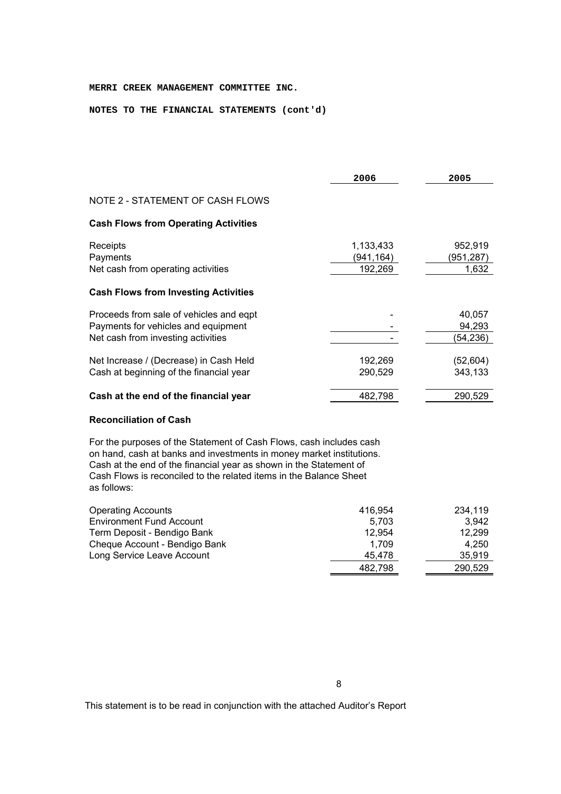#### **NOTES TO THE FINANCIAL STATEMENTS (cont'd)**

|                                                                                                                      | 2006                              | 2005                          |
|----------------------------------------------------------------------------------------------------------------------|-----------------------------------|-------------------------------|
| NOTE 2 - STATEMENT OF CASH FLOWS                                                                                     |                                   |                               |
| <b>Cash Flows from Operating Activities</b>                                                                          |                                   |                               |
| Receipts<br>Payments<br>Net cash from operating activities                                                           | 1,133,433<br>(941,164)<br>192,269 | 952,919<br>(951,287)<br>1,632 |
| <b>Cash Flows from Investing Activities</b>                                                                          |                                   |                               |
| Proceeds from sale of vehicles and eqpt<br>Payments for vehicles and equipment<br>Net cash from investing activities |                                   | 40,057<br>94,293<br>(54,236)  |
| Net Increase / (Decrease) in Cash Held<br>Cash at beginning of the financial year                                    | 192,269<br>290,529                | (52,604)<br>343,133           |
| Cash at the end of the financial year                                                                                | 482,798                           | 290,529                       |
|                                                                                                                      |                                   |                               |

#### **Reconciliation of Cash**

For the purposes of the Statement of Cash Flows, cash includes cash on hand, cash at banks and investments in money market institutions. Cash at the end of the financial year as shown in the Statement of Cash Flows is reconciled to the related items in the Balance Sheet as follows:

| <b>Operating Accounts</b>       | 416.954 | 234.119 |
|---------------------------------|---------|---------|
| <b>Environment Fund Account</b> | 5.703   | 3.942   |
| Term Deposit - Bendigo Bank     | 12.954  | 12,299  |
| Cheque Account - Bendigo Bank   | 1.709   | 4.250   |
| Long Service Leave Account      | 45.478  | 35,919  |
|                                 | 482,798 | 290,529 |